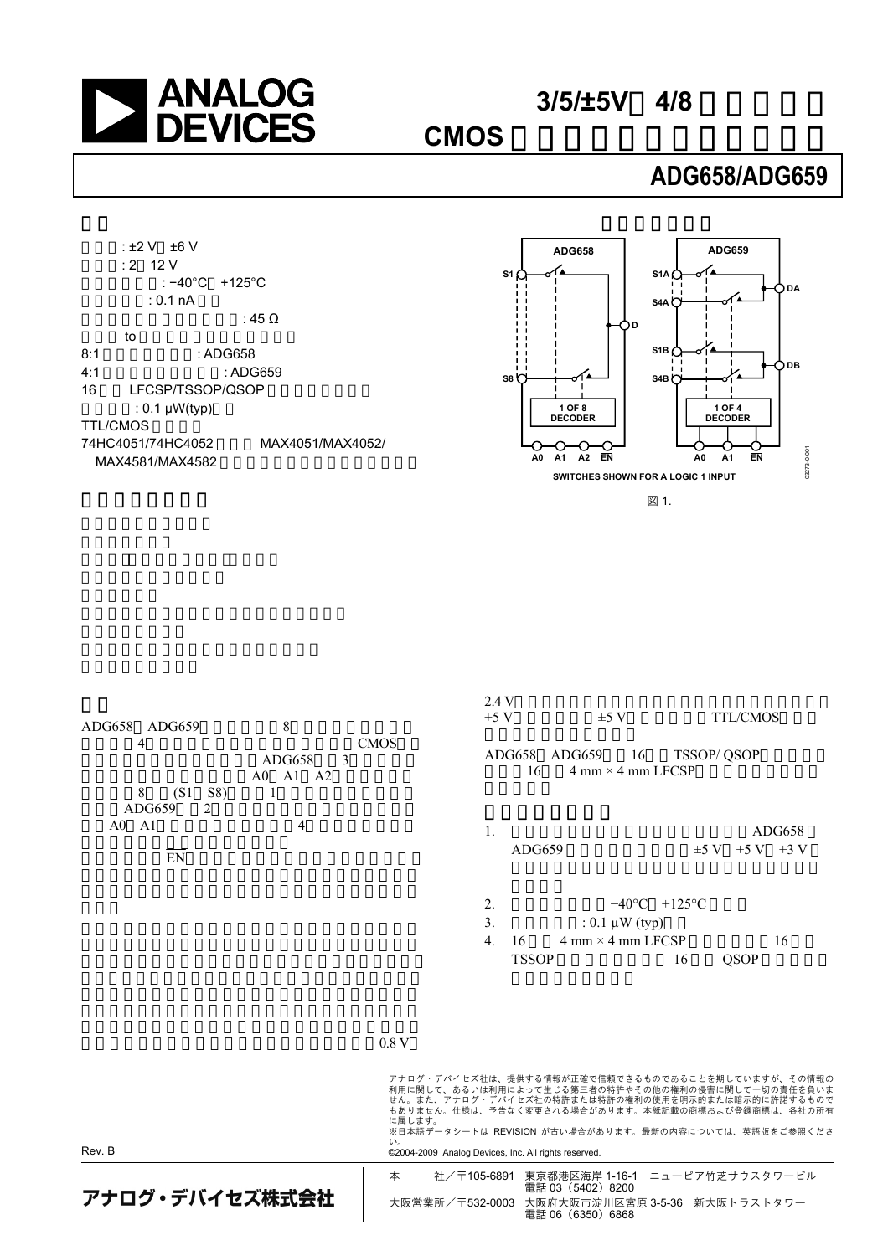

 $3/5/±5V$  4/8

**CMOS** アナログ・マルチプレクサ

## **ADG658/ADG659**

<span id="page-0-0"></span>

<span id="page-0-2"></span>

<span id="page-0-4"></span>図 1.

<span id="page-0-3"></span><span id="page-0-1"></span>

| アナログ・デバイセズ株式会社                         |                              | 本                                                                            |                                              | 社/〒105-6891 東京都港区海岸 1-16-1 ニューピア竹芝サウスタワービル<br>電話 03 (5402) 8200<br>大阪営業所/〒532-0003 大阪府大阪市淀川区宮原 3-5-36 新大阪トラストタワー<br>電話 06 (6350) 6868                                                                                                                                                                                                        |                                 |                                       |
|----------------------------------------|------------------------------|------------------------------------------------------------------------------|----------------------------------------------|----------------------------------------------------------------------------------------------------------------------------------------------------------------------------------------------------------------------------------------------------------------------------------------------------------------------------------------------|---------------------------------|---------------------------------------|
| Rev. B                                 |                              | 0.8V<br>に属します。<br>い。<br>©2004-2009 Analog Devices, Inc. All rights reserved. | 3.<br>$\overline{4}$ .<br>16<br><b>TSSOP</b> | : $0.1 \mu W$ (typ)<br>$4 \text{ mm} \times 4 \text{ mm}$ LFCSP<br>アナログ・デバイセズ社は、提供する情報が正確で信頼できるものであることを期していますが、その情報の<br>利用に関して、あるいは利用によって生じる第三者の特許やその他の権利の侵害に関して一切の責任を負いま<br>せん。また、アナログ・デバイセズ社の特許または特許の権利の使用を明示的または暗示的に許諾するもので<br>もありません。仕様は、予告なく変更される場合があります。本紙記載の商標および登録商標は、各社の所有<br>※日本語データシートは REVISION が古い場合があります。最新の内容については、英語版をご参照くださ | QSOP<br>16                      | 16                                    |
| ADG659<br>2<br>$A0 \quad A1$<br>EN     | 4                            |                                                                              | 1.<br>ADG659<br>2.                           |                                                                                                                                                                                                                                                                                                                                              | $-40\degree C$ +125 $\degree C$ | ADG658<br>$\pm 5 \text{ V}$ +5 V +3 V |
| ADG658 ADG659<br>4<br>8<br>(S1)<br>S8) | 8<br>3<br>ADG658<br>A0 A1 A2 | <b>CMOS</b>                                                                  | 2.4V<br>$+5$ V<br>ADG658 ADG659<br>16        | $\pm 5$ V<br>16<br>$4 \text{ mm} \times 4 \text{ mm}$ LFCSP                                                                                                                                                                                                                                                                                  | <b>TSSOP/ QSOP</b>              | <b>TTL/CMOS</b>                       |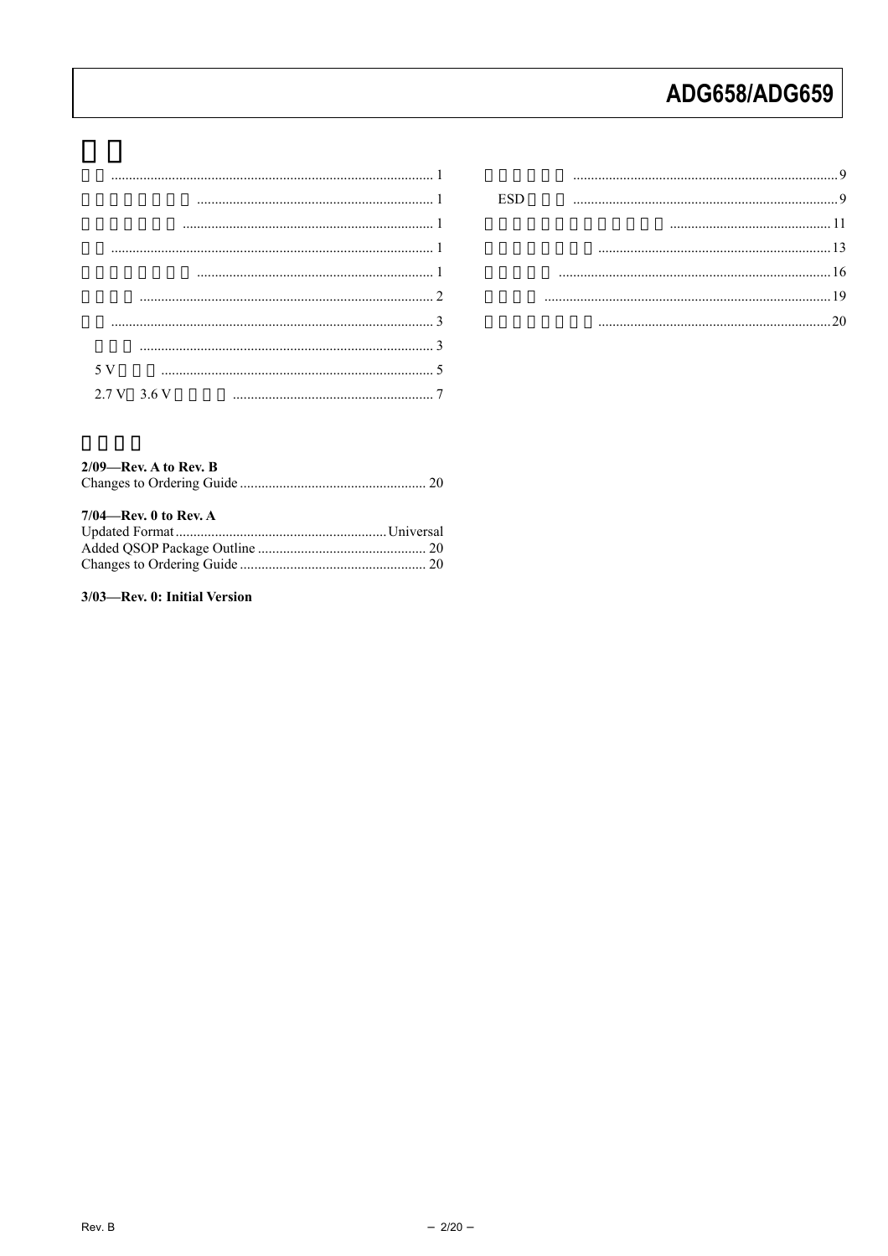| $2.7 V$ 3.6 V |  |  |  |
|---------------|--|--|--|

| ESD |  |
|-----|--|
|     |  |
|     |  |
|     |  |
|     |  |
|     |  |
|     |  |

### $2/09$ —Rev. A to Rev. B  $7/04$ —Rev. 0 to Rev. A

3/03-Rev. 0: Initial Version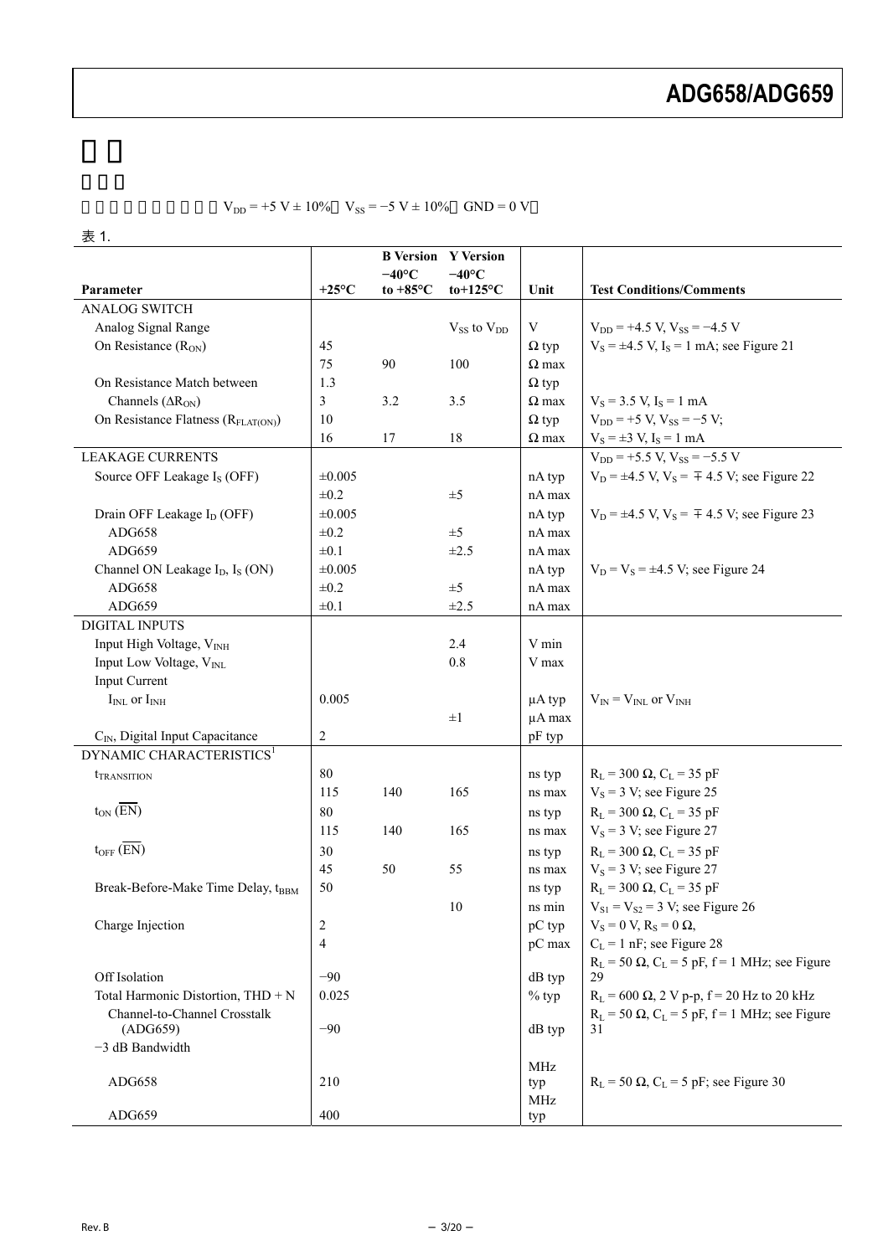|                                                         |                |                    | <b>B Version Y Version</b> |              |                                                           |
|---------------------------------------------------------|----------------|--------------------|----------------------------|--------------|-----------------------------------------------------------|
|                                                         |                | $-40^{\circ}$ C    | $-40^{\circ}$ C            |              |                                                           |
| Parameter                                               | $+25^{\circ}C$ | to $+85^{\circ}$ C | $to+125\textdegree C$      | Unit         | <b>Test Conditions/Comments</b>                           |
| <b>ANALOG SWITCH</b>                                    |                |                    |                            |              |                                                           |
| Analog Signal Range                                     |                |                    | $V_{SS}$ to $V_{DD}$       | V            | $V_{DD}$ = +4.5 V, $V_{SS}$ = -4.5 V                      |
| On Resistance $(R_{ON})$                                | 45             |                    |                            | $\Omega$ typ | $V_S = \pm 4.5$ V, $I_S = 1$ mA; see Figure 21            |
|                                                         | 75             | 90                 | 100                        | $\Omega$ max |                                                           |
| On Resistance Match between                             | 1.3            |                    |                            | $\Omega$ typ |                                                           |
| Channels $(ARON)$                                       | 3              | 3.2                | 3.5                        | $\Omega$ max | $V_s = 3.5$ V, $I_s = 1$ mA                               |
| On Resistance Flatness (R <sub>FLAT(ON)</sub> )         | 10             |                    |                            | $\Omega$ typ | $V_{DD}$ = +5 V, $V_{SS}$ = -5 V;                         |
|                                                         | 16             | 17                 | 18                         | $\Omega$ max | $V_S = \pm 3$ V, $I_S = 1$ mA                             |
| <b>LEAKAGE CURRENTS</b>                                 |                |                    |                            |              | $V_{DD}$ = +5.5 V, $V_{SS}$ = -5.5 V                      |
| Source OFF Leakage I <sub>S</sub> (OFF)                 | $\pm 0.005$    |                    |                            | nA typ       | $V_D = \pm 4.5$ V, $V_S = \pm 4.5$ V; see Figure 22       |
|                                                         | $\pm 0.2$      |                    | $\pm 5$                    | nA max       |                                                           |
| Drain OFF Leakage I <sub>D</sub> (OFF)                  | ±0.005         |                    |                            | nA typ       | $V_D = \pm 4.5$ V, $V_S = \pm 4.5$ V; see Figure 23       |
| ADG658                                                  | $\pm 0.2$      |                    | $\pm 5$                    | nA max       |                                                           |
| ADG659                                                  | $\pm 0.1$      |                    | $\pm 2.5$                  | nA max       |                                                           |
| Channel ON Leakage I <sub>D</sub> , I <sub>S</sub> (ON) | $\pm 0.005$    |                    |                            | nA typ       | $V_D = V_S = \pm 4.5$ V; see Figure 24                    |
| ADG658                                                  | $\pm 0.2$      |                    | $\pm 5$                    | nA max       |                                                           |
| ADG659                                                  | $\pm 0.1$      |                    | $\pm 2.5$                  | nA max       |                                                           |
| <b>DIGITAL INPUTS</b>                                   |                |                    |                            |              |                                                           |
| Input High Voltage, V <sub>INH</sub>                    |                |                    | 2.4                        | V min        |                                                           |
| Input Low Voltage, V <sub>INL</sub>                     |                |                    | 0.8                        | V max        |                                                           |
| <b>Input Current</b>                                    |                |                    |                            |              |                                                           |
| $I_{INL}$ or $I_{INH}$                                  | 0.005          |                    |                            | $\mu A$ typ  | $V_{IN} = V_{INL}$ or $V_{INH}$                           |
|                                                         |                |                    | $\pm 1$                    | µA max       |                                                           |
| C <sub>IN</sub> , Digital Input Capacitance             | $\overline{c}$ |                    |                            | pF typ       |                                                           |
| DYNAMIC CHARACTERISTICS <sup>1</sup>                    |                |                    |                            |              |                                                           |
| <i><b>TRANSITION</b></i>                                | 80             |                    |                            | ns typ       | $R_L$ = 300 $\Omega$ , $C_L$ = 35 pF                      |
|                                                         | 115            | 140                | 165                        | ns max       | $V_s = 3 V$ ; see Figure 25                               |
| $t_{ON}(\overline{EN})$                                 | 80             |                    |                            | ns typ       | $R_L$ = 300 $\Omega$ , $C_L$ = 35 pF                      |
|                                                         | 115            | 140                | 165                        | ns max       | $V_s = 3 V$ ; see Figure 27                               |
| $t_{OFF}$ $(\overline{EN})$                             | 30             |                    |                            | ns typ       | $R_L$ = 300 $\Omega$ , $C_L$ = 35 pF                      |
|                                                         | 45             | 50                 | 55                         | ns max       | $V_s$ = 3 V; see Figure 27                                |
| Break-Before-Make Time Delay, tBBM                      | 50             |                    |                            | ns typ       | $R_L$ = 300 $\Omega$ , $C_L$ = 35 pF                      |
|                                                         |                |                    | 10                         | ns min       | $V_{S1} = V_{S2} = 3 V$ ; see Figure 26                   |
| Charge Injection                                        | 2              |                    |                            | pC typ       | $V_S = 0 V, R_S = 0 \Omega,$                              |
|                                                         | 4              |                    |                            | pC max       | $C_L = 1$ nF; see Figure 28                               |
|                                                         |                |                    |                            |              | $R_L$ = 50 $\Omega$ , $C_L$ = 5 pF, f = 1 MHz; see Figure |
| Off Isolation                                           | $-90$          |                    |                            | dB typ       | 29                                                        |
| Total Harmonic Distortion, THD + N                      | 0.025          |                    |                            | $%$ typ      | $R_L$ = 600 $\Omega$ , 2 V p-p, f = 20 Hz to 20 kHz       |
| Channel-to-Channel Crosstalk                            |                |                    |                            |              | $R_L$ = 50 $\Omega$ , $C_L$ = 5 pF, f = 1 MHz; see Figure |
| (ADG659)                                                | $-90$          |                    |                            | $dB$ typ     | 31                                                        |
| $-3$ dB Bandwidth                                       |                |                    |                            |              |                                                           |
|                                                         |                |                    |                            | MHz          |                                                           |
| ADG658                                                  | 210            |                    |                            | typ          | $R_L$ = 50 $\Omega$ , $C_L$ = 5 pF; see Figure 30         |
|                                                         |                |                    |                            | MHz          |                                                           |
| ADG659                                                  | 400            |                    |                            | typ          |                                                           |

 $V_{DD}$  = +5 V ± 10% V<sub>SS</sub> = -5 V ± 10% GND = 0 V

<span id="page-2-0"></span>表 1.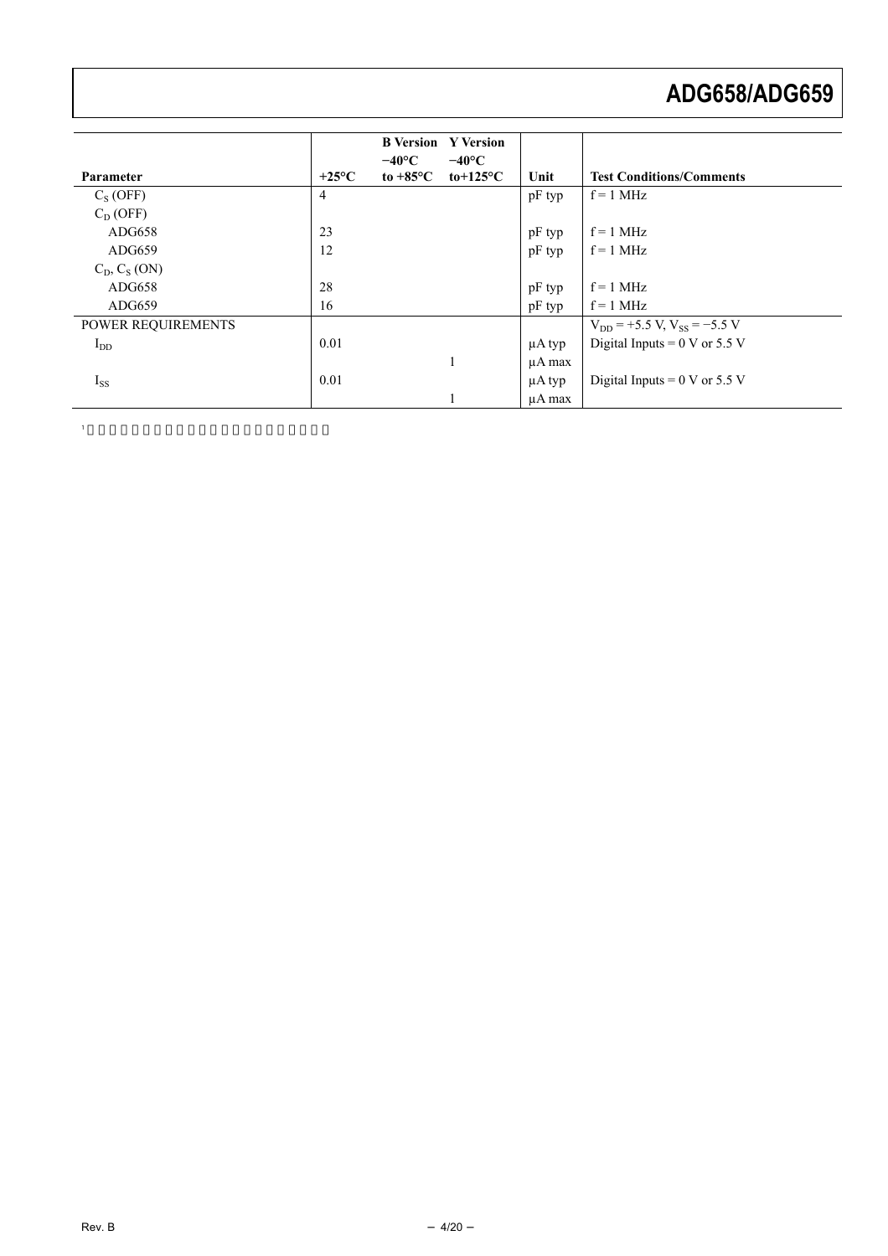|                    |                 | <b>B</b> Version<br>$-40^{\circ}$ C | <b>Y</b> Version<br>$-40^{\circ}$ C |             |                                         |
|--------------------|-----------------|-------------------------------------|-------------------------------------|-------------|-----------------------------------------|
| Parameter          | $+25^{\circ}$ C | to $+85^{\circ}$ C                  | to+125 $\rm ^{o}C$                  | Unit        | <b>Test Conditions/Comments</b>         |
| $C_S(OFF)$         | 4               |                                     |                                     | pF typ      | $f = 1$ MHz                             |
| $C_D(OFF)$         |                 |                                     |                                     |             |                                         |
| ADG658             | 23              |                                     |                                     | pF typ      | $f = 1$ MHz                             |
| ADG659             | 12              |                                     |                                     | pF typ      | $f = 1$ MHz                             |
| $C_D, C_S (ON)$    |                 |                                     |                                     |             |                                         |
| ADG658             | 28              |                                     |                                     | pF typ      | $f = 1$ MHz                             |
| ADG659             | 16              |                                     |                                     | pF typ      | $f = 1$ MHz                             |
| POWER REQUIREMENTS |                 |                                     |                                     |             | $V_{DD}$ = +5.5 V, $V_{SS}$ = -5.5 V    |
| $I_{DD}$           | 0.01            |                                     |                                     | $\mu A$ typ | Digital Inputs = $0 \text{ V}$ or 5.5 V |
|                    |                 |                                     |                                     | $\mu A$ max |                                         |
| $I_{SS}$           | 0.01            |                                     |                                     | $\mu A$ typ | Digital Inputs = $0 \text{ V}$ or 5.5 V |
|                    |                 |                                     |                                     | uA max      |                                         |

1  $\sim$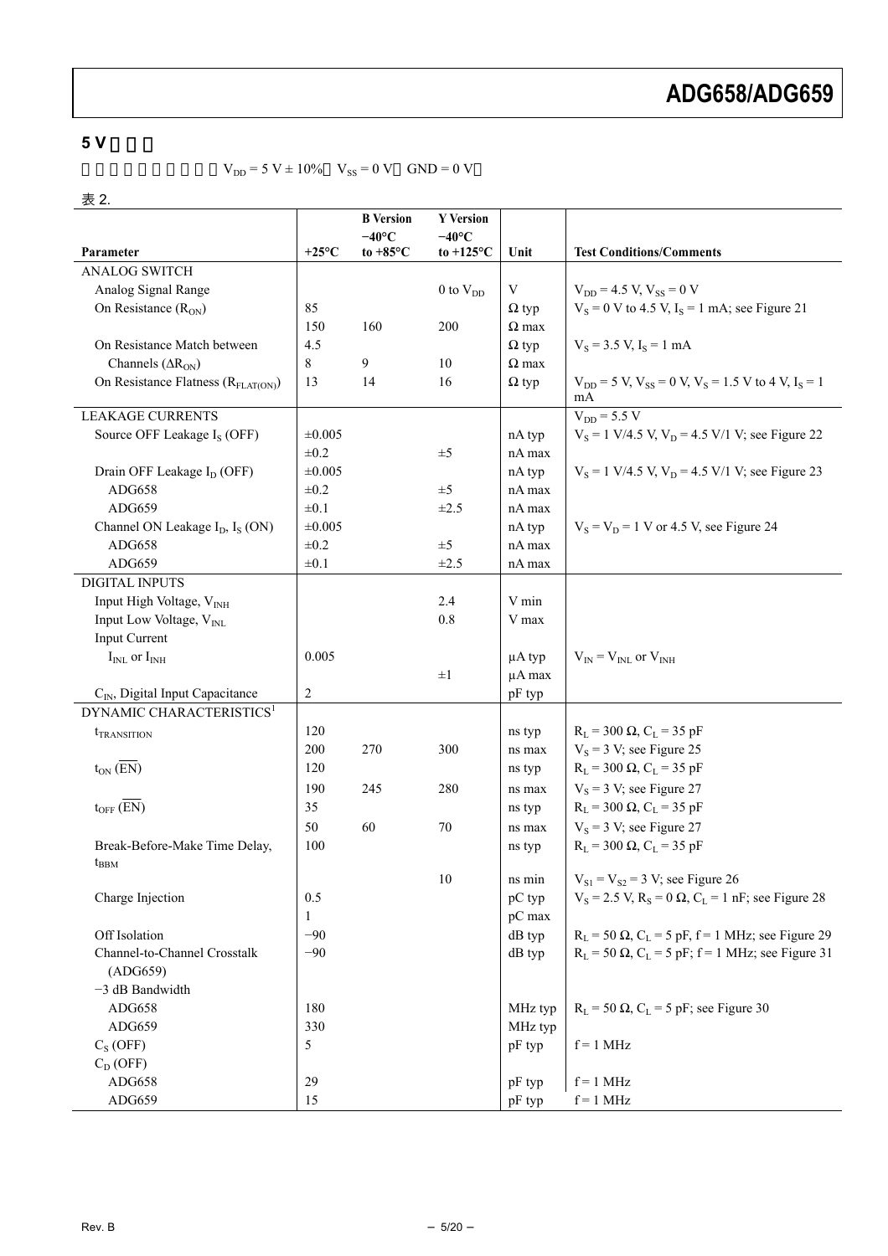### <span id="page-4-0"></span>**5 V** 単電源

 $V_{DD} = 5 V \pm 10\%$   $V_{SS} = 0 V$  GND = 0 V

#### 表 2.

|                                                         |                 | <b>B</b> Version   | <b>Y</b> Version    |              |                                                                         |
|---------------------------------------------------------|-----------------|--------------------|---------------------|--------------|-------------------------------------------------------------------------|
|                                                         |                 | $-40^{\circ}$ C    | $-40^{\circ}$ C     |              |                                                                         |
| Parameter                                               | $+25^{\circ}$ C | to $+85^{\circ}$ C | to $+125^{\circ}$ C | Unit         | <b>Test Conditions/Comments</b>                                         |
| <b>ANALOG SWITCH</b>                                    |                 |                    |                     |              |                                                                         |
| Analog Signal Range                                     |                 |                    | $0$ to $V_{DD}$     | V            | $V_{DD} = 4.5$ V, $V_{SS} = 0$ V                                        |
| On Resistance $(R_{ON})$                                | 85              |                    |                     | $\Omega$ typ | $V_s = 0$ V to 4.5 V, $I_s = 1$ mA; see Figure 21                       |
|                                                         | 150             | 160                | 200                 | $\Omega$ max |                                                                         |
| On Resistance Match between                             | 4.5             |                    |                     | $\Omega$ typ | $V_s = 3.5$ V, $I_s = 1$ mA                                             |
| Channels $(AR_{ON})$                                    | 8               | 9                  | 10                  | $\Omega$ max |                                                                         |
| On Resistance Flatness $(RFLAT(ON))$                    | 13              | 14                 | 16                  | $\Omega$ typ | $V_{DD} = 5 V$ , $V_{SS} = 0 V$ , $V_S = 1.5 V$ to 4 V, $I_S = 1$<br>mA |
| <b>LEAKAGE CURRENTS</b>                                 |                 |                    |                     |              | $V_{DD} = 5.5 V$                                                        |
| Source OFF Leakage I <sub>S</sub> (OFF)                 | ±0.005          |                    |                     | nA typ       | $V_s = 1$ V/4.5 V, $V_p = 4.5$ V/1 V; see Figure 22                     |
|                                                         | $\pm 0.2$       |                    | $\pm 5$             | nA max       |                                                                         |
| Drain OFF Leakage I <sub>D</sub> (OFF)                  | ±0.005          |                    |                     | nA typ       | $V_s = 1$ V/4.5 V, $V_D = 4.5$ V/1 V; see Figure 23                     |
| ADG658                                                  | $\pm 0.2$       |                    | $\pm 5$             | nA max       |                                                                         |
| ADG659                                                  | $\pm 0.1$       |                    | $\pm 2.5$           | nA max       |                                                                         |
| Channel ON Leakage I <sub>D</sub> , I <sub>S</sub> (ON) | ±0.005          |                    |                     | nA typ       | $V_S = V_D = 1$ V or 4.5 V, see Figure 24                               |
| ADG658                                                  | $\pm 0.2$       |                    | $\pm$ 5             | nA max       |                                                                         |
| ADG659                                                  | $\pm 0.1$       |                    | $\pm 2.5$           | nA max       |                                                                         |
| <b>DIGITAL INPUTS</b>                                   |                 |                    |                     |              |                                                                         |
| Input High Voltage, V <sub>INH</sub>                    |                 |                    | 2.4                 | V min        |                                                                         |
| Input Low Voltage, V <sub>INL</sub>                     |                 |                    | 0.8                 | V max        |                                                                         |
| <b>Input Current</b>                                    |                 |                    |                     |              |                                                                         |
| $I_{INL}$ or $I_{INH}$                                  | 0.005           |                    |                     | $\mu A$ typ  | $V_{IN} = V_{INL}$ or $V_{INH}$                                         |
|                                                         |                 |                    | $\pm 1$             | µA max       |                                                                         |
| C <sub>IN</sub> , Digital Input Capacitance             | $\overline{c}$  |                    |                     | pF typ       |                                                                         |
| DYNAMIC CHARACTERISTICS <sup>1</sup>                    |                 |                    |                     |              |                                                                         |
| <i>t</i> <sub>TRANSITION</sub>                          | 120             |                    |                     | ns typ       | $R_L$ = 300 $\Omega$ , $C_L$ = 35 pF                                    |
|                                                         | 200             | 270                | 300                 | ns max       | $V_s = 3 V$ ; see Figure 25                                             |
| $t_{ON}(\overline{EN})$                                 | 120             |                    |                     | ns typ       | $R_L$ = 300 $\Omega$ , $C_L$ = 35 pF                                    |
|                                                         | 190             | 245                | 280                 | ns max       | $V_s = 3 V$ ; see Figure 27                                             |
| $t_{OFF}$ $(\overline{EN})$                             | 35              |                    |                     | ns typ       | $R_L$ = 300 $\Omega$ , $C_L$ = 35 pF                                    |
|                                                         | 50              | 60                 | 70                  | ns max       | $V_s = 3 V$ ; see Figure 27                                             |
| Break-Before-Make Time Delay,<br>$t_{BBM}$              | 100             |                    |                     | ns typ       | $R_L$ = 300 $\Omega$ , $C_L$ = 35 pF                                    |
|                                                         |                 |                    | $10\,$              | ns min       | $V_{S1} = V_{S2} = 3 V$ ; see Figure 26                                 |
| Charge Injection                                        | 0.5             |                    |                     | pC typ       | $V_s = 2.5$ V, $R_s = 0 \Omega$ , $C_l = 1$ nF; see Figure 28           |
|                                                         | 1               |                    |                     | pC max       |                                                                         |
| Off Isolation                                           | $-90$           |                    |                     | dB typ       | $R_L$ = 50 $\Omega$ , $C_L$ = 5 pF, f = 1 MHz; see Figure 29            |
| Channel-to-Channel Crosstalk                            | $-90$           |                    |                     | dB typ       | $R_L$ = 50 $\Omega$ , $C_L$ = 5 pF; f = 1 MHz; see Figure 31            |
| (ADG659)                                                |                 |                    |                     |              |                                                                         |
| $-3$ dB Bandwidth                                       |                 |                    |                     |              |                                                                         |
| ADG658                                                  | 180             |                    |                     | MHz typ      | $R_L$ = 50 $\Omega$ , $C_L$ = 5 pF; see Figure 30                       |
| ADG659                                                  | 330             |                    |                     | MHz typ      |                                                                         |
| $C_S(OFF)$                                              | 5               |                    |                     | pF typ       | $f = 1$ MHz                                                             |
| $C_D$ (OFF)                                             |                 |                    |                     |              |                                                                         |
| ADG658                                                  | 29              |                    |                     | pF typ       | $f = 1$ MHz                                                             |
| ADG659                                                  | 15              |                    |                     | pF typ       | $f = 1$ MHz                                                             |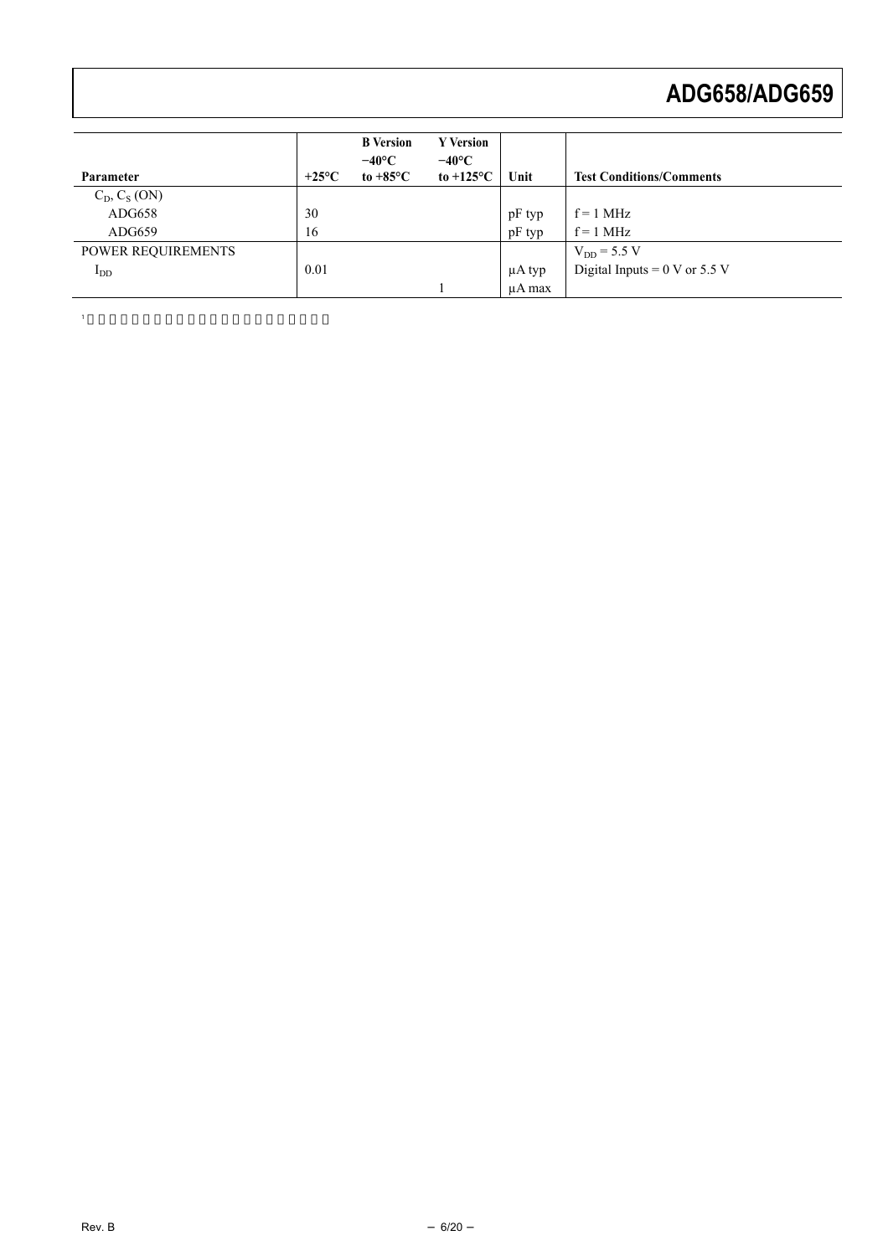| Parameter                 | $+25^{\circ}$ C | <b>B</b> Version<br>$-40^{\circ}$ C<br>to $+85^{\circ}$ C | <b>Y</b> Version<br>$-40^{\circ}$ C<br>to $+125^{\circ}$ C | Unit    | <b>Test Conditions/Comments</b>         |
|---------------------------|-----------------|-----------------------------------------------------------|------------------------------------------------------------|---------|-----------------------------------------|
| $C_D, C_S (ON)$           |                 |                                                           |                                                            |         |                                         |
| ADG658                    | 30              |                                                           |                                                            | pF typ  | $f = 1$ MHz                             |
| ADG659                    | 16              |                                                           |                                                            | pF typ  | $f = 1$ MHz                             |
| <b>POWER REQUIREMENTS</b> |                 |                                                           |                                                            |         | $V_{DD} = 5.5 V$                        |
| $I_{DD}$                  | 0.01            |                                                           |                                                            | µA typ  | Digital Inputs = $0 \text{ V}$ or 5.5 V |
|                           |                 |                                                           |                                                            | u A max |                                         |

1  $\sim$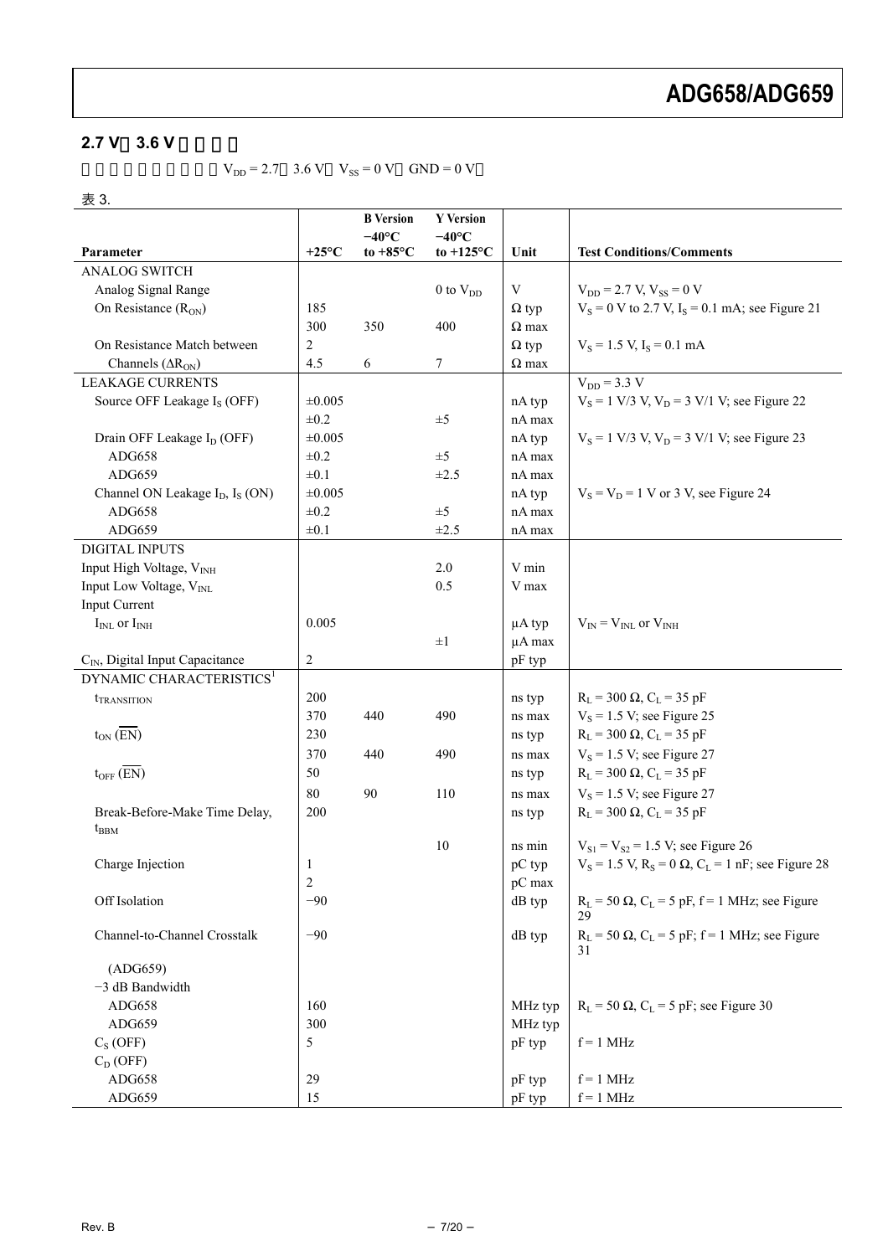### $2.7 V$   $3.6 V$

 $V_{DD} = 2.7$  3.6 V  $V_{SS} = 0$  V GND = 0 V

#### 表 3.

|                                                         |                 | <b>B</b> Version   | <b>Y</b> Version    |              |                                                                 |
|---------------------------------------------------------|-----------------|--------------------|---------------------|--------------|-----------------------------------------------------------------|
|                                                         |                 | $-40^{\circ}$ C    | $-40^{\circ}$ C     |              |                                                                 |
| Parameter                                               | $+25^{\circ}$ C | to $+85^{\circ}$ C | to $+125^{\circ}$ C | Unit         | <b>Test Conditions/Comments</b>                                 |
| <b>ANALOG SWITCH</b>                                    |                 |                    |                     |              |                                                                 |
| Analog Signal Range                                     |                 |                    | $0$ to $V_{DD}$     | V            | $V_{DD} = 2.7 V, V_{SS} = 0 V$                                  |
| On Resistance $(R_{ON})$                                | 185             |                    |                     | $\Omega$ typ | $V_s = 0$ V to 2.7 V, $I_s = 0.1$ mA; see Figure 21             |
|                                                         | 300             | 350                | 400                 | $\Omega$ max |                                                                 |
| On Resistance Match between                             | $\overline{2}$  |                    |                     | $\Omega$ typ | $V_s = 1.5$ V, $I_s = 0.1$ mA                                   |
| Channels $(AR_{ON})$                                    | 4.5             | 6                  | 7                   | $\Omega$ max |                                                                 |
| <b>LEAKAGE CURRENTS</b>                                 |                 |                    |                     |              | $V_{DD} = 3.3 V$                                                |
| Source OFF Leakage I <sub>S</sub> (OFF)                 | ±0.005          |                    |                     | nA typ       | $V_S = 1$ V/3 V, $V_D = 3$ V/1 V; see Figure 22                 |
|                                                         | $\pm 0.2$       |                    | $\pm 5$             | nA max       |                                                                 |
| Drain OFF Leakage I <sub>D</sub> (OFF)                  | ±0.005          |                    |                     | nA typ       | $V_s = 1$ V/3 V, $V_D = 3$ V/1 V; see Figure 23                 |
| ADG658                                                  | $\pm 0.2$       |                    | $\pm 5$             | nA max       |                                                                 |
| ADG659                                                  | $\pm 0.1$       |                    | $\pm 2.5$           | nA max       |                                                                 |
| Channel ON Leakage I <sub>D</sub> , I <sub>S</sub> (ON) | ±0.005          |                    |                     | nA typ       | $V_S = V_D = 1$ V or 3 V, see Figure 24                         |
| ADG658                                                  | $\pm 0.2$       |                    | $\pm 5$             | nA max       |                                                                 |
| ADG659                                                  | $\pm 0.1$       |                    | $\pm 2.5$           | nA max       |                                                                 |
| <b>DIGITAL INPUTS</b>                                   |                 |                    |                     |              |                                                                 |
| Input High Voltage, V <sub>INH</sub>                    |                 |                    | 2.0                 | V min        |                                                                 |
| Input Low Voltage, V <sub>INL</sub>                     |                 |                    | 0.5                 | V max        |                                                                 |
| Input Current                                           |                 |                    |                     |              |                                                                 |
| $I_{INL}$ or $I_{INH}$                                  | 0.005           |                    |                     | $\mu$ A typ  | $V_{IN} = V_{INL}$ or $V_{INH}$                                 |
|                                                         |                 |                    | $\pm 1$             | µA max       |                                                                 |
| C <sub>IN</sub> , Digital Input Capacitance             | $\sqrt{2}$      |                    |                     | pF typ       |                                                                 |
| DYNAMIC CHARACTERISTICS <sup>1</sup>                    |                 |                    |                     |              |                                                                 |
| <i>t</i> <sub>TRANSITION</sub>                          | 200             |                    |                     | ns typ       | $R_L$ = 300 $\Omega$ , $C_L$ = 35 pF                            |
|                                                         | 370             | 440                | 490                 | ns max       | $V_s = 1.5$ V; see Figure 25                                    |
| $t_{ON}(\overline{EN})$                                 | 230             |                    |                     | ns typ       | $R_L = 300 \Omega$ , $C_L = 35 pF$                              |
|                                                         | 370             | 440                | 490                 | ns max       | $V_s = 1.5$ V; see Figure 27                                    |
| $t_{OFF}$ (EN)                                          | 50              |                    |                     | ns typ       | $R_L$ = 300 $\Omega$ , $C_L$ = 35 pF                            |
|                                                         | 80              | 90                 | 110                 | ns max       | $V_s = 1.5$ V; see Figure 27                                    |
| Break-Before-Make Time Delay,                           | 200             |                    |                     | ns typ       | $R_L$ = 300 $\Omega$ , $C_L$ = 35 pF                            |
| $t_{BBM}$                                               |                 |                    |                     |              |                                                                 |
|                                                         |                 |                    | 10                  | ns min       | $V_{S1} = V_{S2} = 1.5$ V; see Figure 26                        |
| Charge Injection                                        | 1               |                    |                     | pC typ       | $V_S = 1.5$ V, $R_S = 0 \Omega$ , $C_L = 1$ nF; see Figure 28   |
|                                                         | 2               |                    |                     | pC max       |                                                                 |
| Off Isolation                                           | $-90$           |                    |                     | $dB$ typ     | $R_L$ = 50 $\Omega$ , $C_L$ = 5 pF, f = 1 MHz; see Figure       |
|                                                         |                 |                    |                     |              | 29                                                              |
| Channel-to-Channel Crosstalk                            | $-90$           |                    |                     | dB typ       | $R_L$ = 50 $\Omega$ , $C_L$ = 5 pF; f = 1 MHz; see Figure<br>31 |
| (ADG659)                                                |                 |                    |                     |              |                                                                 |
| $-3$ dB Bandwidth                                       |                 |                    |                     |              |                                                                 |
|                                                         | 160             |                    |                     |              |                                                                 |
| ADG658                                                  | 300             |                    |                     | MHz typ      | $R_L$ = 50 $\Omega$ , $C_L$ = 5 pF; see Figure 30               |
| ADG659                                                  | 5               |                    |                     | MHz typ      | $f = 1$ MHz                                                     |
| $C_S(OFF)$                                              |                 |                    |                     | pF typ       |                                                                 |
| $C_D(OFF)$                                              |                 |                    |                     |              |                                                                 |
| ADG658                                                  | 29              |                    |                     | pF typ       | $f = 1$ MHz                                                     |
| ADG659                                                  | 15              |                    |                     | pF typ       | $f = 1$ MHz                                                     |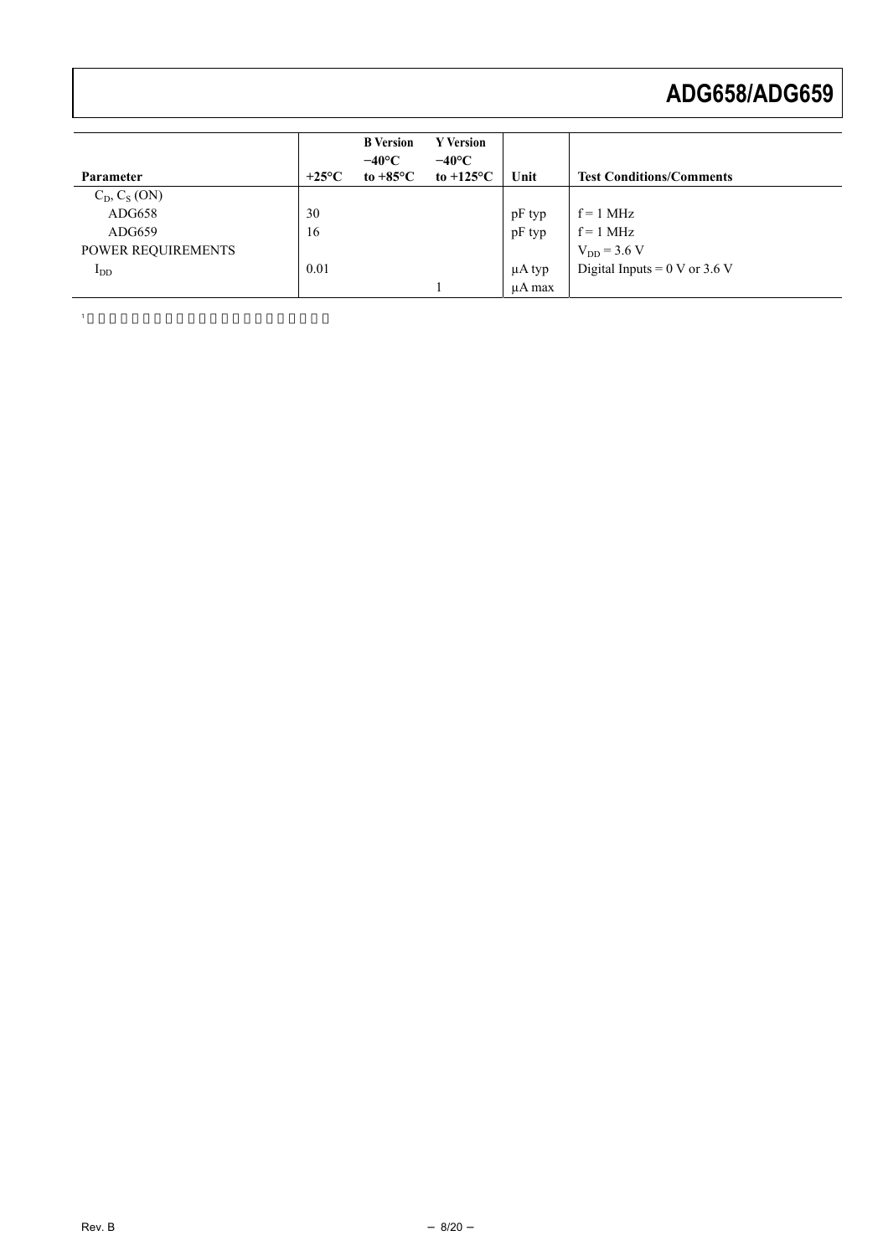| Parameter          | $+25^{\circ}$ C | <b>B</b> Version<br>$-40^{\circ}$ C<br>to $+85^{\circ}$ C | <b>Y</b> Version<br>$-40^{\circ}$ C<br>to $+125^{\circ}$ C | Unit        | <b>Test Conditions/Comments</b>                  |
|--------------------|-----------------|-----------------------------------------------------------|------------------------------------------------------------|-------------|--------------------------------------------------|
| $C_D, C_S (ON)$    |                 |                                                           |                                                            |             |                                                  |
| ADG658             | 30              |                                                           |                                                            | pF typ      | $f = 1$ MHz                                      |
| ADG659             | 16              |                                                           |                                                            | pF typ      | $f = 1$ MHz                                      |
| POWER REQUIREMENTS |                 |                                                           |                                                            |             | $V_{DD}$ = 3.6 V                                 |
| $I_{DD}$           | 0.01            |                                                           |                                                            | $\mu A$ typ | Digital Inputs = $0 \text{ V or } 3.6 \text{ V}$ |
|                    |                 |                                                           |                                                            | u A max     |                                                  |

1  $\sim$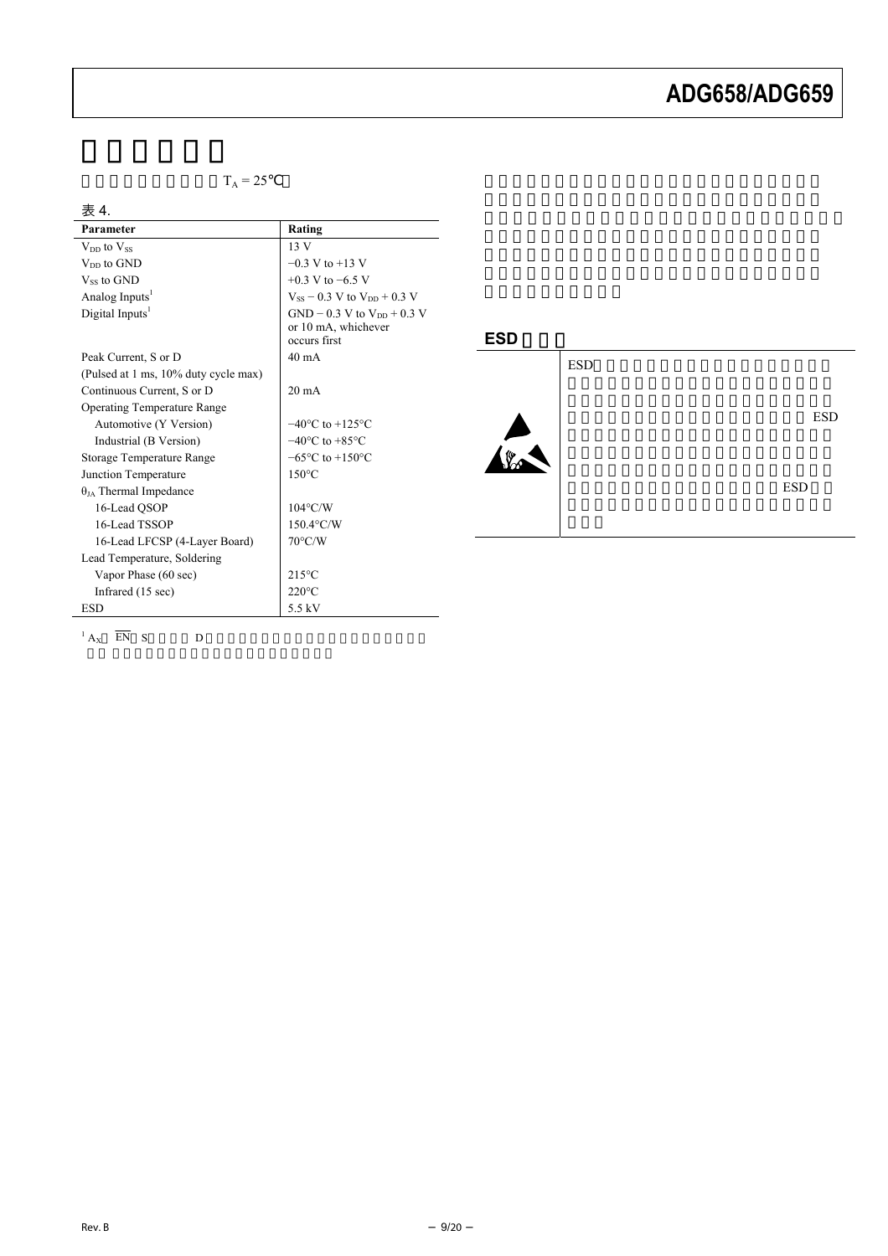$T_A = 25$ 

| 表 4.<br>Parameter                    | Rating                                                                   |
|--------------------------------------|--------------------------------------------------------------------------|
|                                      |                                                                          |
| $V_{DD}$ to $V_{SS}$                 | 13V                                                                      |
| $V_{DD}$ to $GND$                    | $-0.3$ V to $+13$ V                                                      |
| $V_{ss}$ to GND                      | $+0.3$ V to $-6.5$ V                                                     |
| Analog Inputs <sup>1</sup>           | $V_{SS}$ – 0.3 V to $V_{DD}$ + 0.3 V                                     |
| Digital Inputs <sup>1</sup>          | $GND - 0.3 V$ to $V_{DD} + 0.3 V$<br>or 10 mA, whichever<br>occurs first |
| Peak Current, S or D                 | $40 \text{ mA}$                                                          |
| (Pulsed at 1 ms, 10% duty cycle max) |                                                                          |
| Continuous Current, S or D           | $20 \text{ mA}$                                                          |
| <b>Operating Temperature Range</b>   |                                                                          |
| Automotive (Y Version)               | $-40^{\circ}$ C to $+125^{\circ}$ C                                      |
| Industrial (B Version)               | $-40^{\circ}$ C to $+85^{\circ}$ C                                       |
| Storage Temperature Range            | $-65^{\circ}$ C to $+150^{\circ}$ C                                      |
| Junction Temperature                 | $150^{\circ}$ C                                                          |
| $\theta_{JA}$ Thermal Impedance      |                                                                          |
| 16-Lead QSOP                         | $104^{\circ}$ C/W                                                        |
| 16-Lead TSSOP                        | $150.4$ °C/W                                                             |
| 16-Lead LFCSP (4-Layer Board)        | $70^{\circ}$ C/W                                                         |
| Lead Temperature, Soldering          |                                                                          |
| Vapor Phase (60 sec)                 | $215^{\circ}$ C                                                          |
| Infrared (15 sec)                    | $220^{\circ}$ C                                                          |
| <b>ESD</b>                           | 5.5 kV                                                                   |



<span id="page-8-0"></span>

 $1_{A_X}$  EN S D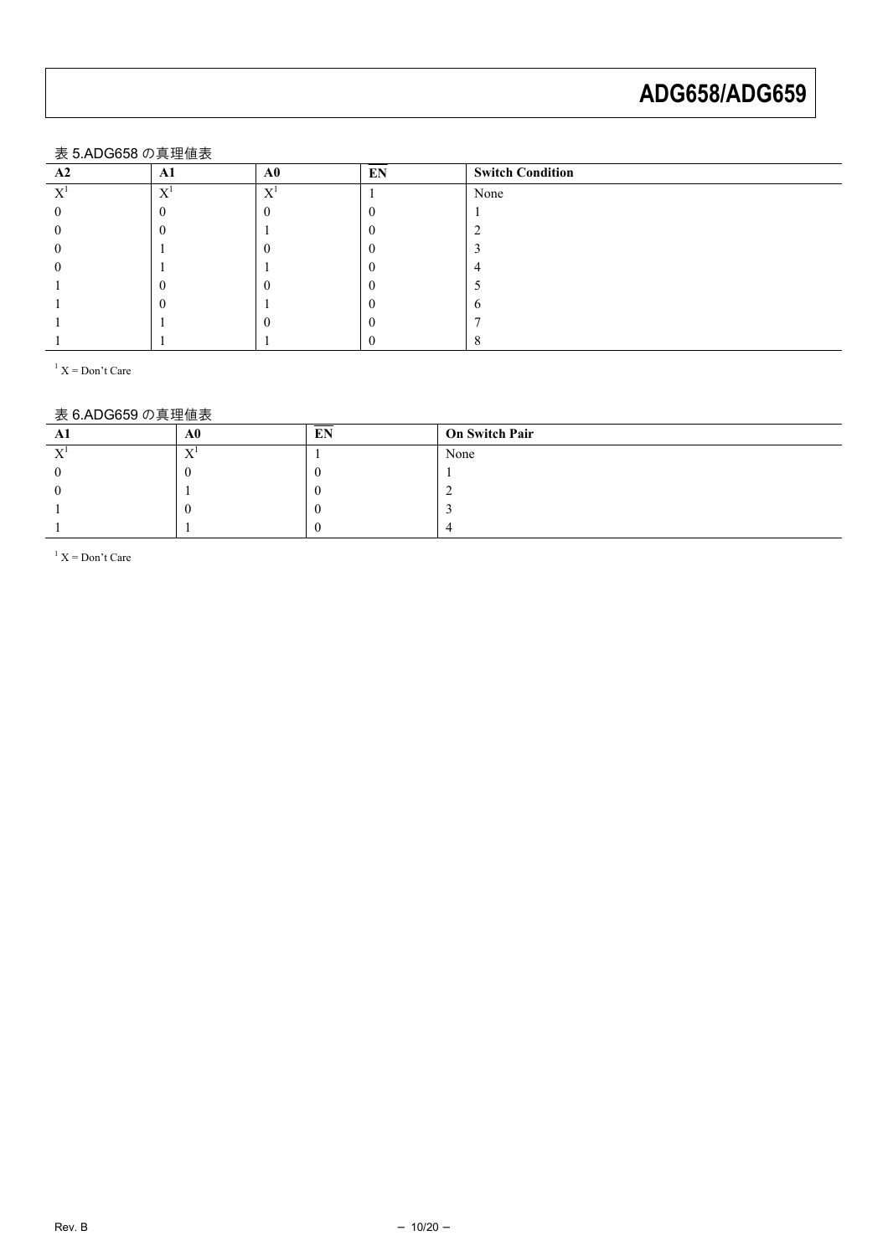#### 表 5.ADG658 の真理値表

<span id="page-9-0"></span>

| $\sim$ 0.7 to 00000 $\rightarrow$ 5 $\rightarrow$ 10 10 10 |              |        |    |                         |
|------------------------------------------------------------|--------------|--------|----|-------------------------|
| A <sub>2</sub>                                             | Al           | A0     | EN | <b>Switch Condition</b> |
| $\tau$                                                     | $\mathbf{v}$ | $\tau$ |    | None                    |
|                                                            |              |        |    |                         |
|                                                            |              |        |    |                         |
|                                                            |              |        |    |                         |
|                                                            |              |        |    |                         |
|                                                            |              |        |    |                         |
|                                                            |              |        |    |                         |
|                                                            |              |        |    |                         |
|                                                            |              |        |    |                         |

 $X = Don't Care$ 

#### 表 6.ADG659 の真理値表

<span id="page-9-1"></span>

| Al                       | A0             | EN | <b>On Switch Pair</b> |
|--------------------------|----------------|----|-----------------------|
| $\mathbf{v}$<br>$\Delta$ | T<br>$\lambda$ |    | None                  |
|                          |                |    |                       |
|                          |                |    |                       |
|                          |                |    |                       |
|                          |                |    |                       |

 $X = Don't Care$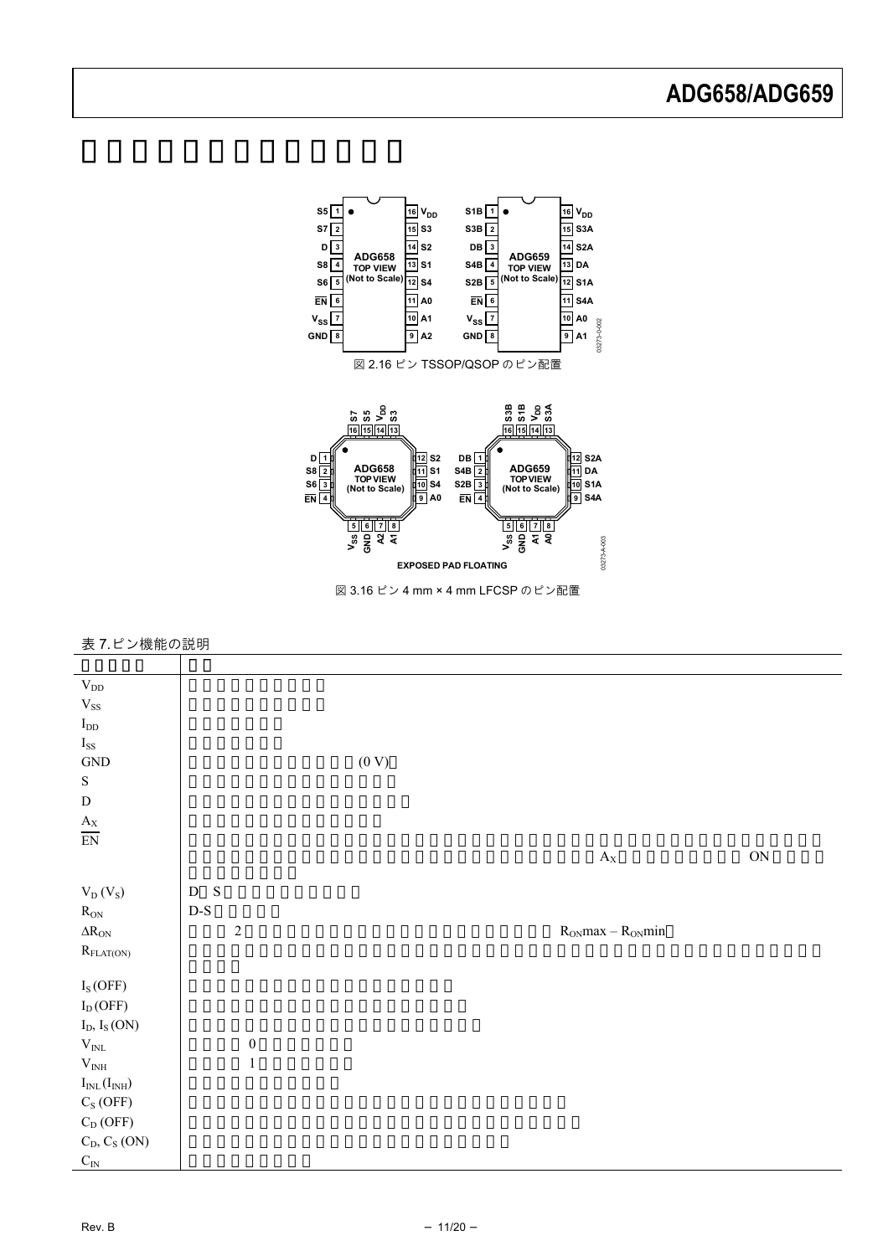<span id="page-10-0"></span>

#### 表 7.ピン機能の説明

| $\rm V_{DD}$                                 |                                |       |                             |               |
|----------------------------------------------|--------------------------------|-------|-----------------------------|---------------|
| $\rm V_{SS}$                                 |                                |       |                             |               |
| $\mathbf{I}_{\text{DD}}$                     |                                |       |                             |               |
| $\mathbf{I}_{\rm SS}$                        |                                |       |                             |               |
| $\operatorname{GND}$                         |                                | (0 V) |                             |               |
| ${\bf S}$                                    |                                |       |                             |               |
| ${\rm D}$                                    |                                |       |                             |               |
| $\mathbf{A}_\mathrm{X}$                      |                                |       |                             |               |
| $\overline{\text{EN}}$                       |                                |       |                             |               |
|                                              |                                |       | $\mathbf{A}_\mathrm{X}$     | $\mathbf{ON}$ |
|                                              |                                |       |                             |               |
| $\mathrm{V_{D}}\left( \mathrm{V_{S}}\right)$ | S<br>${\rm D}$                 |       |                             |               |
| $R_{\rm ON}$                                 | $\mathbf{D}\text{-}\mathbf{S}$ |       |                             |               |
| $\Delta R_{ON}$                              | $\sqrt{2}$                     |       | $R_{ON}$ max – $R_{ON}$ min |               |
| $R_{\rm FLAT(ON)}$                           |                                |       |                             |               |
|                                              |                                |       |                             |               |
| $I_S(OFF)$                                   |                                |       |                             |               |
| $\mathrm{I}_\mathrm{D}(\mathrm{OFF})$        |                                |       |                             |               |
| $I_D, I_S(ON)$                               |                                |       |                             |               |
| $\rm V_{\rm INL}$                            | $\boldsymbol{0}$               |       |                             |               |
| $\rm V_{\rm INH}$                            | $\,1\,$                        |       |                             |               |
| $I_{\mathrm{INL}}(I_{\mathrm{INH}})$         |                                |       |                             |               |
| $C_S(OFF)$                                   |                                |       |                             |               |
| $C_D$ (OFF)                                  |                                |       |                             |               |
| $C_D, C_S (ON)$                              |                                |       |                             |               |
| $C_{\rm IN}$                                 |                                |       |                             |               |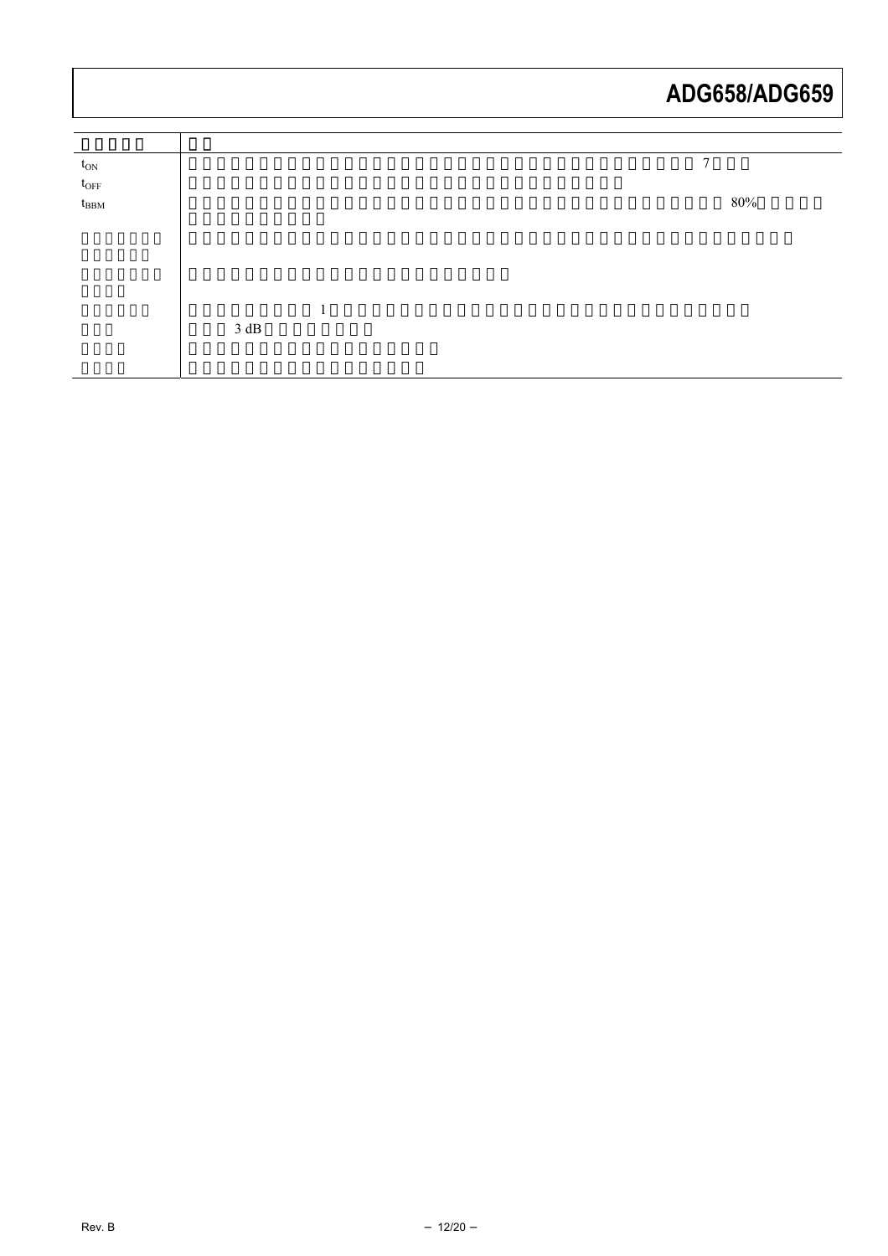| $t_{\rm ON}$  |      |        |  | $\mathbf{7}$ |        |
|---------------|------|--------|--|--------------|--------|
| $t_{\rm OFF}$ |      |        |  |              |        |
| $t_{\rm BBM}$ |      |        |  |              | $80\%$ |
|               |      |        |  |              |        |
|               |      |        |  |              |        |
|               |      |        |  |              |        |
|               |      |        |  |              |        |
|               |      | 1<br>ı |  |              |        |
|               | 3 dB |        |  |              |        |
|               |      |        |  |              |        |
|               |      |        |  |              |        |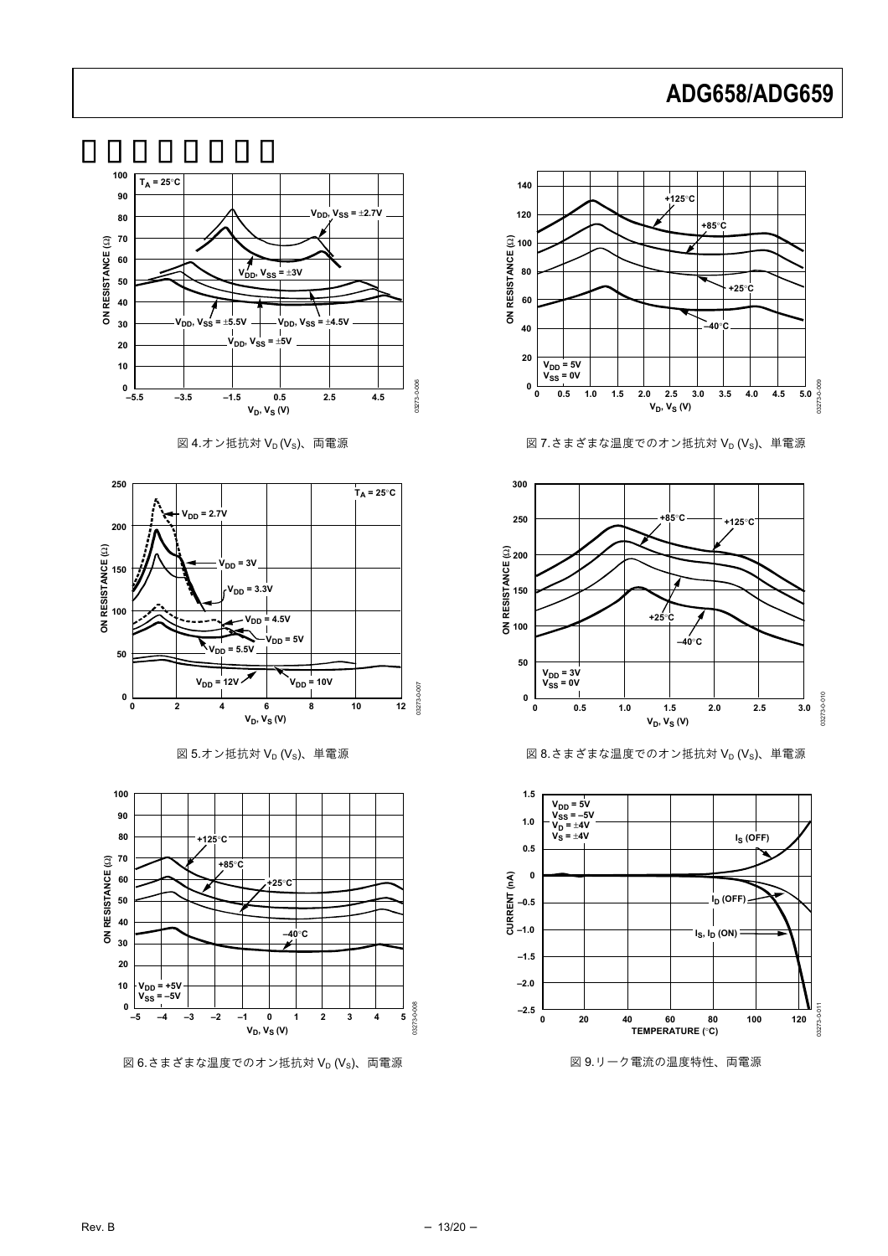

図 4.オン抵抗対  $V_D$  ( $V_S$ )、両電源



図 5.オン抵抗対  $V_D$  ( $V_S$ )、単電源



図 6.さまざまな温度でのオン抵抗対  $V_D$  ( $V_S$ )、両電源



図  $7.$  さまざまな温度でのオン抵抗対  $V_D$  ( $V_S$ )、単電源



図 8.さまざまな温度でのオン抵抗対  $V_D$  ( $V_S$ )、単電源



図 9.リーク電流の温度特性、両電源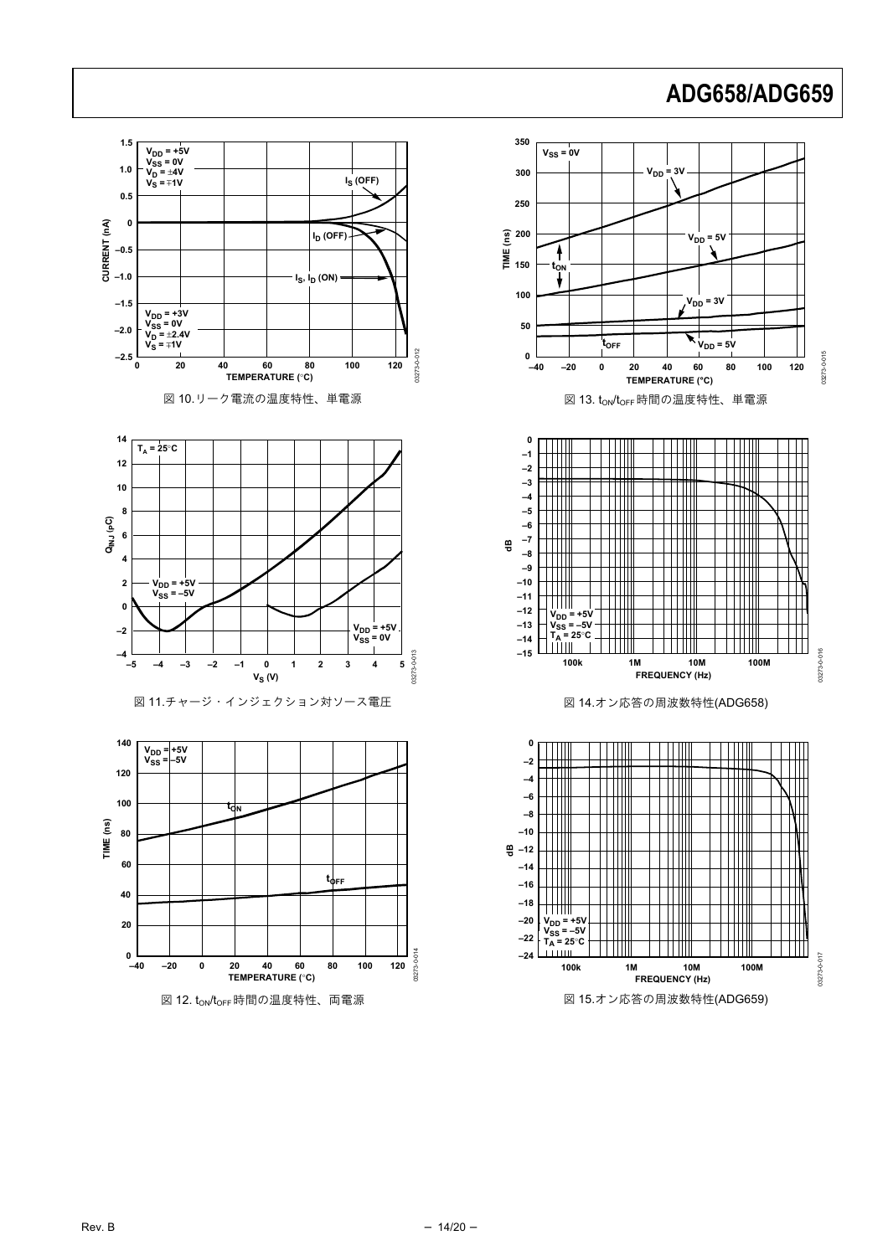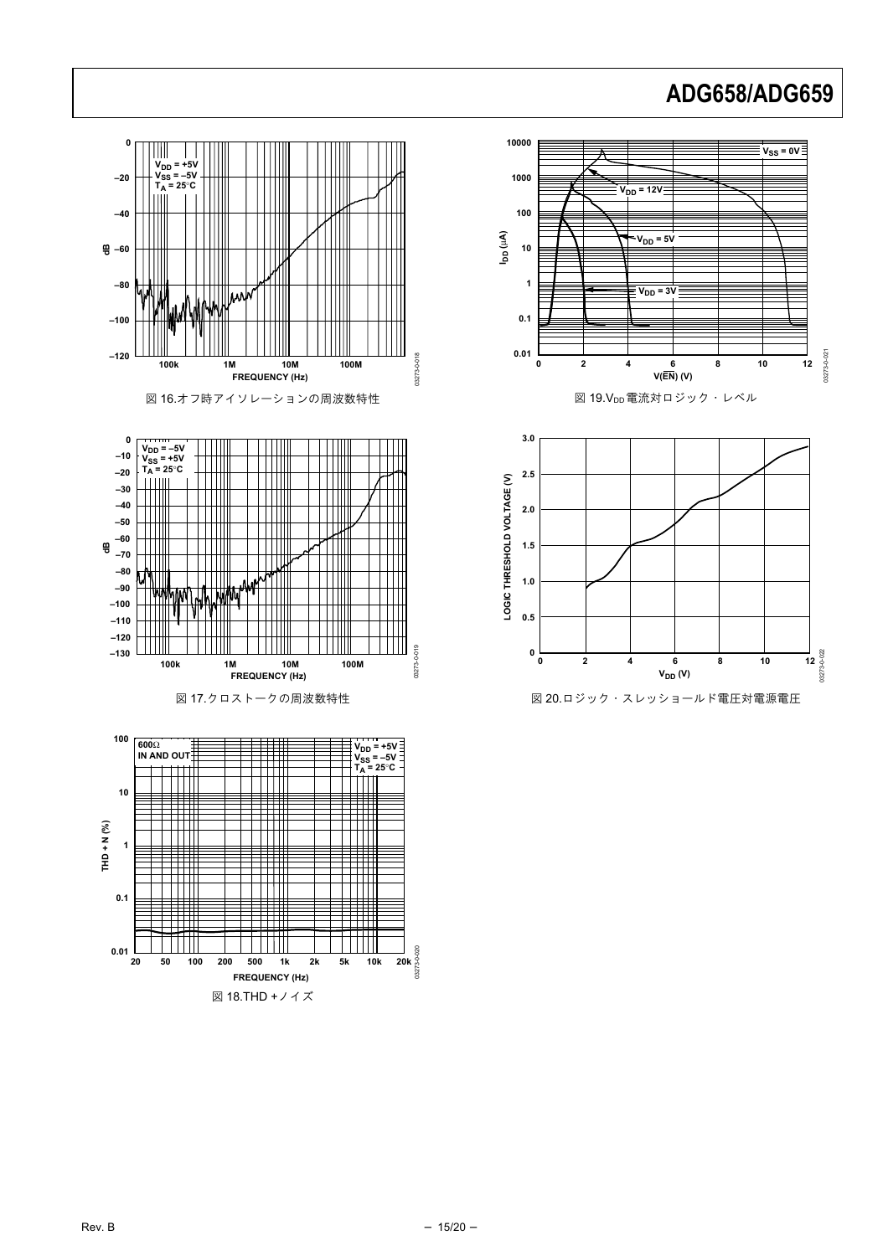03273-0-021

03273-0-021

03273-0-022



図 18.THD +ノイズ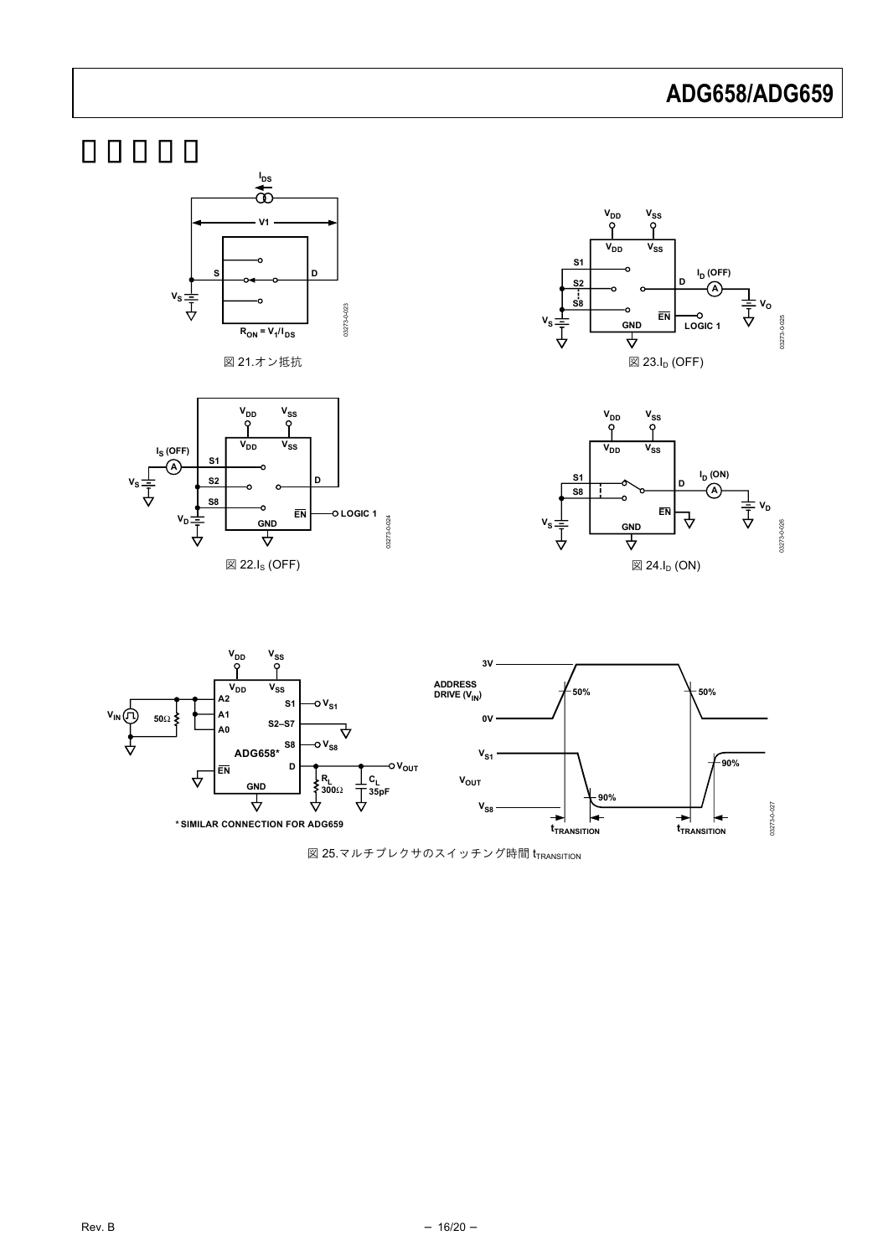<span id="page-15-0"></span>









<span id="page-15-2"></span><span id="page-15-1"></span>

図 25.マルチプレクサのスイッチング時間  ${\rm tr}_{\sf RANSITION}$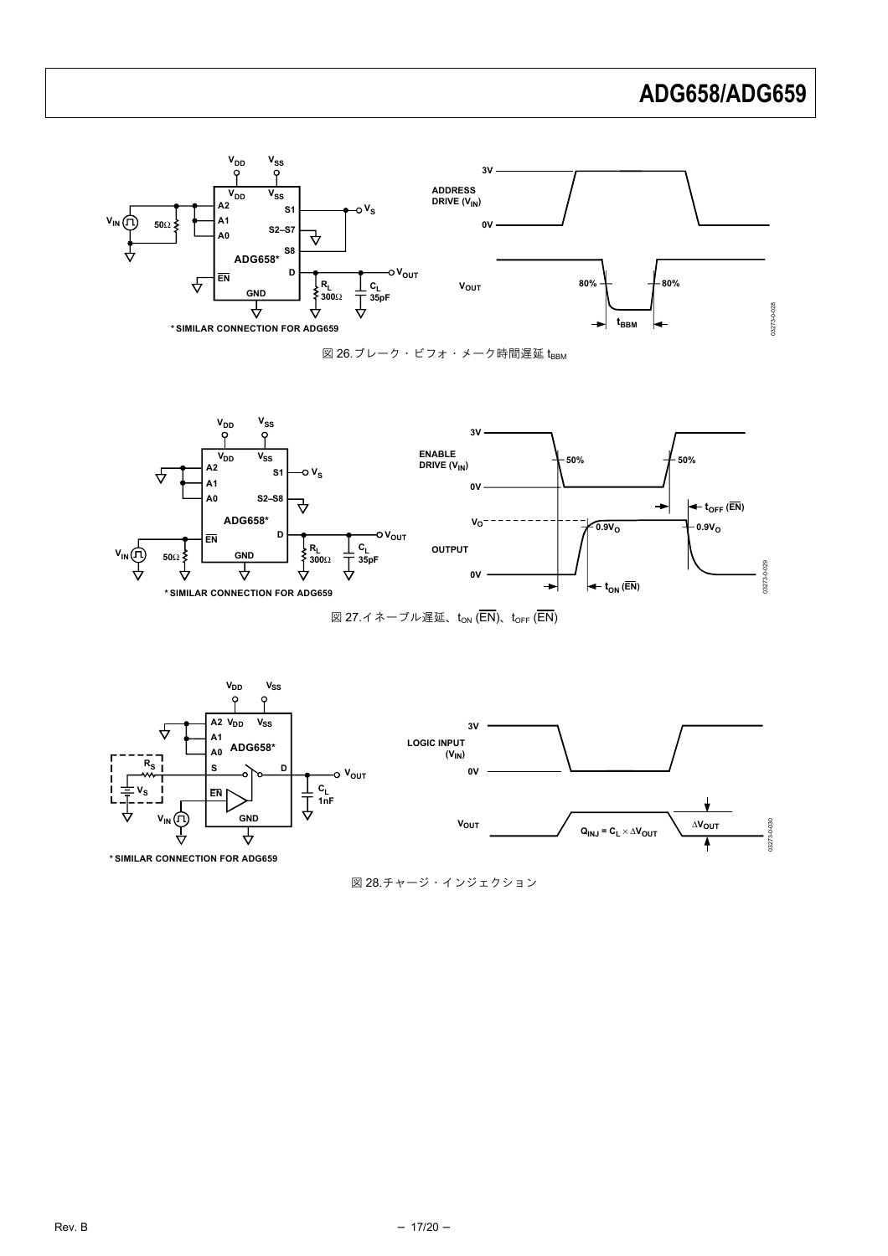

図 26.ブレーク・ビフォ・メーク時間遅延 t<sub>BBM</sub>

<span id="page-16-1"></span>

図 27.イネーブル遅延、t<sub>ON</sub> (EN)、t<sub>OFF</sub> (EN)

<span id="page-16-2"></span><span id="page-16-0"></span>

図 28.チャージ・インジェクション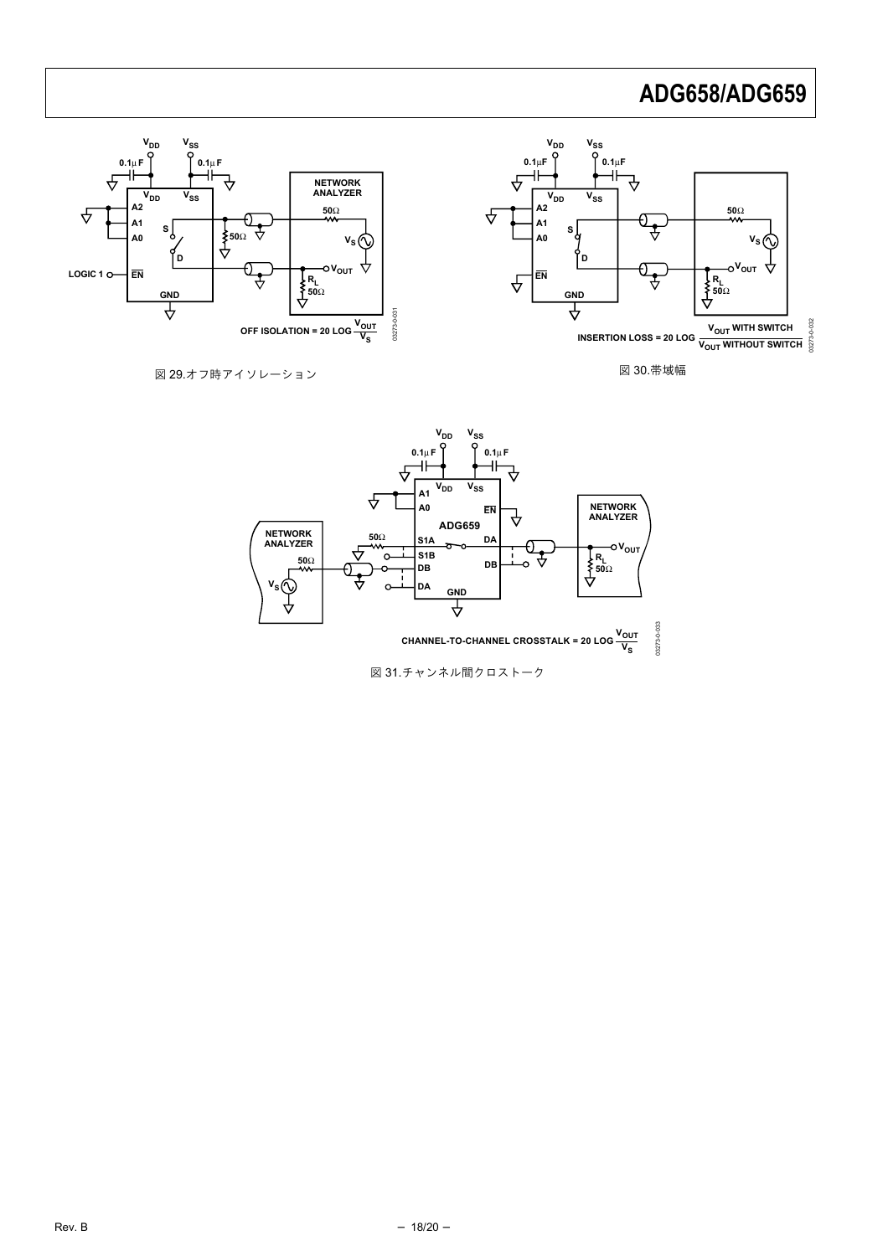

図 30.帯域幅

<span id="page-17-0"></span>図 29.オフ時アイソレーション



図 31.チャンネル間クロストーク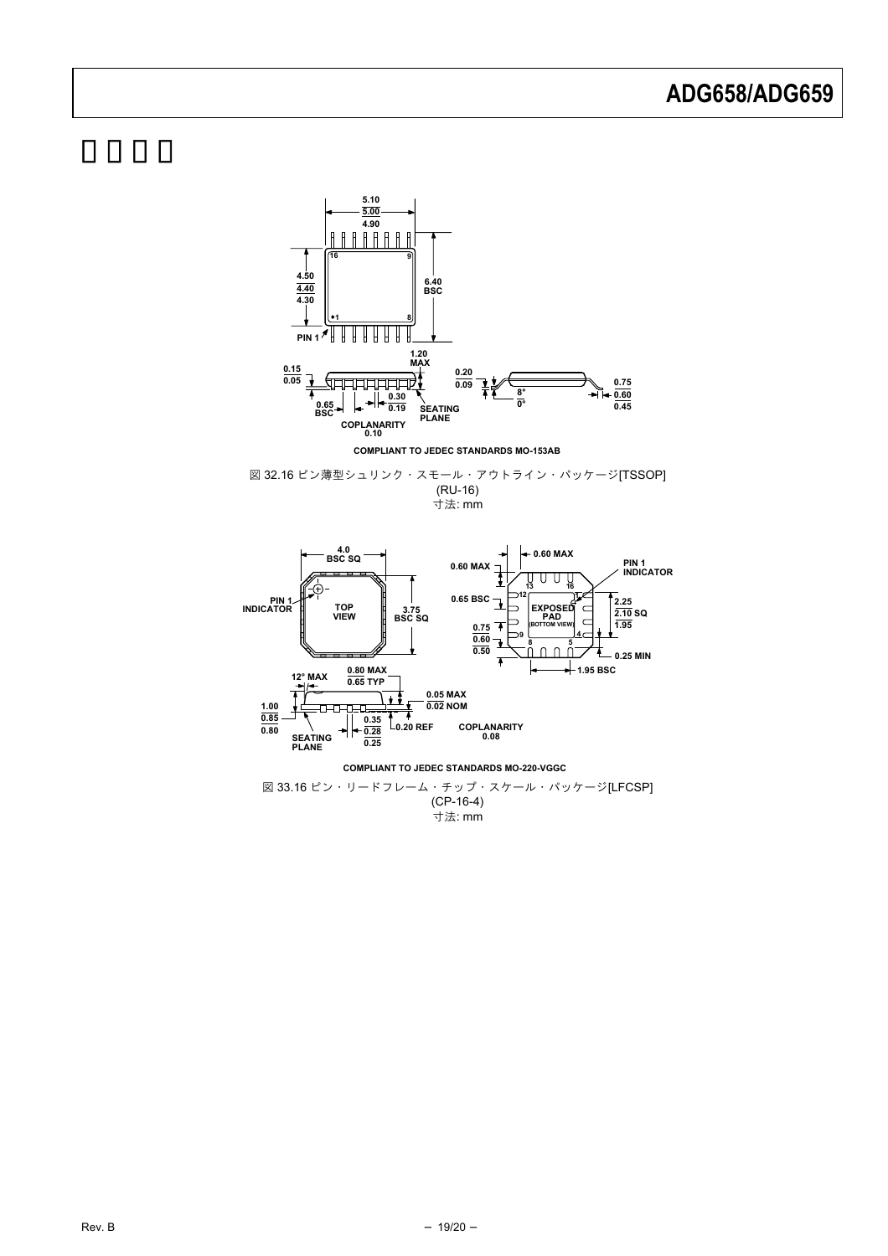

**COMPLIANT TO JEDEC STANDARDS MO-153AB**

図 32.16 ピン薄型シュリンク・スモール・アウトライン・パッケージ[TSSOP] (RU-16) 寸法: mm



.<br>寸法: mm